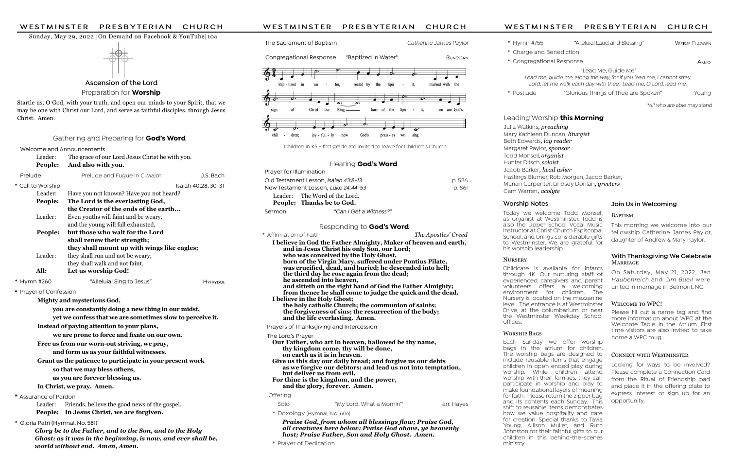Welcome and Announcements

| Leader:<br>The grace of our Lord Jesus Christ be with you.       |                                                    |                     |
|------------------------------------------------------------------|----------------------------------------------------|---------------------|
| People:                                                          | And also with you.                                 |                     |
| Prelude                                                          | Prelude and Fugue in C Major                       | J.S. Bach           |
| * Call to Worship                                                |                                                    | Isaiah 40:28, 30-31 |
| Leader:                                                          | Have you not known? Have you not heard?            |                     |
| People:                                                          | The Lord is the everlasting God,                   |                     |
|                                                                  | the Creator of the ends of the earth               |                     |
| Leader:                                                          | Even youths will faint and be weary,               |                     |
|                                                                  | and the young will fall exhausted,                 |                     |
| People:                                                          | but those who wait for the Lord                    |                     |
|                                                                  | shall renew their strength;                        |                     |
|                                                                  | they shall mount up with wings like eagles;        |                     |
| Leader:                                                          | they shall run and not be weary;                   |                     |
|                                                                  | they shall walk and not faint.                     |                     |
| All:                                                             | Let us worship God!                                |                     |
| Hymn #260                                                        | "Alleluia! Sing to Jesus"                          | <b>HYFRYDOL</b>     |
| Prayer of Confession                                             |                                                    |                     |
|                                                                  | Mighty and mysterious God,                         |                     |
|                                                                  | you are constantly doing a new thing in our midst, |                     |
| yet we confess that we are sometimes slow to perceive it.        |                                                    |                     |
| Instead of paying attention to your plans,                       |                                                    |                     |
| we are prone to force and fixate on our own.                     |                                                    |                     |
| والمكانية والمستنقر المتحدد والمستحدث والمحامر<br>. $\mathbf{c}$ |                                                    |                     |

Julia Watkins, preaching Mary Kathleen Duncan, *liturgist* Beth Edwards, lay reader Margaret Paylor, sponsor Todd Monsell, *organist* Hunter Ditsch, soloist Jacob Barker, head usher Hastings Blumer, Rob Morgan, Jacob Barker, Marian Carpenter, Lindsey Donlan, greeters Cam Warren, acolyte

Free us from our worn-out striving, we pray,

Childcare is available for infants through 4K. Our nurturing staff of experienced caregivers and parent volunteers offers a welcoming environment for children. The Nursery is located on the mezzanine level. The entrance is at Westminster Drive, at the columbarium or near the Westminster Weekday School offices.

#### WORSHIP BAGS

and form us as your faithful witnesses.

Grant us the patience to participate in your present work

so that we may bless others,

as you are forever blessing us.

In Christ, we pray. Amen.

\* Assurance of Pardon

 Leader: Friends, believe the good news of the gospel. People: In Jesus Christ, we are forgiven.

#### \* Gloria Patri (Hymnal, No. 581)

Glory be to the Father, and to the Son, and to the Holy Ghost; as it was in the beginning, is now, and ever shall be, world without end. Amen, Amen.

WESTMINSTER PRESBYTERIAN CHURCH<br>
Sunday, May 29, 2022 |On Demand on Facebook & YouTube|10a<br>
The Sacrament of Baptism (Carl Catherine James Paylor \* Hymn #755 "Alleluial Laud and Blessing" Wesse Fullowsk<br>
Concrection (Pensi

The Sacrament of Baptism The Sacrament of Baptism Catherine James Paylor

Ascension of the Lord

Preparation for **Worship** 

#### Sunday, May 29, 2022 |On Demand on Facebook & YouTube|10a



Today we welcome Todd Monsell as organist at Westminster. Todd is also the Upper School Vocal Music Instructor at Christ Church Espiscopal School, and brings considerable gifts to Westminster. We are grateful for his worship leadership.

#### **NURSERY**

Praise God, from whom all blessings flow; Praise God, all creatures here below; Praise God above, ye heavenly host; Praise Father, Son and Holy Ghost. Amen.

Please fill out a name tag and find more information about WPC at the Welcome Table in the Atrium. First time visitors are also invited to take home a WPC mug.

# CONNECT WITH WESTMINSTER

#### With Thanksgiving We Celebrate MARRIAGE

Each Sunday we offer worship bags in the atrium for children. The worship bags are designed to include reusable items that engage children in open ended play during worship. While children attend worship with their families, they can participate in worship and play to make foundational layers of meaning for faith. Please return the zipper bag and its contents each Sunday. This shift to reusable items demonstrates how we value hospitality and care for creation. Special thanks to Tavia Young, Allison Muller, and Ruth Johnston for their faithful gifts to our children in this behind-the-scenes ministry.

# Worship Notes

Startle us, O God, with your truth, and open our minds to your Spirit, that we may be one with Christ our Lord, and serve as faithful disciples, through Jesus Christ. Amen.

#### Gathering and Preparing for **God's Word**

| The Lord's Player                                           |
|-------------------------------------------------------------|
| Our Father, who art in heaven, hallowed be thy name,        |
| thy kingdom come, thy will be done,                         |
| on earth as it is in heaven.                                |
| Give us this day our daily bread; and forgive us our debts  |
| as we forgive our debtors; and lead us not into temptation, |
| but deliver us from evil.                                   |
| For thine is the kingdom, and the power,                    |
| and the glory, forever. Amen.                               |
|                                                             |

#### Offering

| Solo | "My Lord, What a Mornin'" | arr. Hayes |
|------|---------------------------|------------|
|      |                           |            |

\* Doxology (Hymnal, No. 606)

\* Prayer of Dedication

- 
- 

# Leading Worship **this Morning**

| Prayer for Illumination |                                      |        |  |
|-------------------------|--------------------------------------|--------|--|
|                         | Old Testament Lesson, Isaiah 43:8-13 | p.586  |  |
|                         | New Testament Lesson, Luke 24:44-53  | p. 861 |  |
|                         | Leader: The Word of the Lord.        |        |  |
|                         | People: Thanks be to God.            |        |  |
| Sermon                  | "Can I Get a Witness?"               |        |  |

#### Responding to **God's Word**

| * Affirmation of Faith                                           | The Apostles' Creed |
|------------------------------------------------------------------|---------------------|
| I believe in God the Father Almighty, Maker of heaven and earth, |                     |
| and in Jesus Christ his only Son, our Lord;                      |                     |
| who was conceived by the Holy Ghost,                             |                     |
| born of the Virgin Mary, suffered under Pontius Pilate,          |                     |
| was crucified, dead, and buried; he descended into hell;         |                     |
| the third day he rose again from the dead;                       |                     |
| he ascended into heaven,                                         |                     |
| and sitteth on the right hand of God the Father Almighty;        |                     |
| from thence he shall come to judge the quick and the dead.       |                     |
| I believe in the Holy Ghost;                                     |                     |
| the holy catholic Church; the communion of saints;               |                     |
| the forgiveness of sins; the resurrection of the body;           |                     |
| and the life everlasting. Amen.                                  |                     |
| Prayers of Thanksgiving and Intercession                         |                     |
| Tha Lord's Prayar                                                |                     |

\* Hymn #755 "Alleluia! Laud and Blessing"

\* Charge and Benediction

\* Congregational Response

"Lead Me, Guide Me"

Lead me, guide me, along the way, for if you lead me, I cannot stray. Lord, let me walk each day with thee. Lead me, O Lord, lead me.

\* Postlude "Glorious Things of Thee are Spoken" Young

\*All who are able may stand

This morning we welcome into our fellowship Catherine James Paylor, daughter of Andrew & Mary Paylor.

# Join Us in Welcoming

#### BAPTISM

Congregational Response "Baptized in Water"



Children in K5 - first grade are invited to leave for Children's Church.

#### Hearing God's Word

On Saturday, May 21, 2022, Jan Haubenreich and Jim Buell were united in marriage in Belmont, NC.

# WELCOME TO WPC!

Looking for ways to be involved? Please complete a Connection Card from the Ritual of Friendship pad and place it in the offering plate to express interest or sign up for an opportunity.

**A**KERS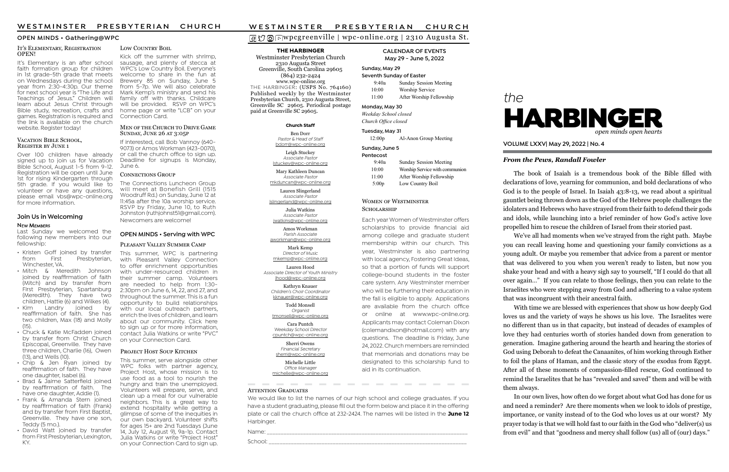# wpcgreenville | wpc-online.org | 2310 Augusta St.

# the



# From the Pews, Randall Fowler

VOLUME LXXV| May 29, 2022 | No. 4

THE HARBINGER

Weekday School closed Church Office closed

#### Sunday, June 5 **Pentecost**

Westminster Presbyterian Church 2310 Augusta Street Greenville, South Carolina 29605 (864) 232-2424 www.wpc-online.org THE HARBINGER: (USPS No. 764160) Published weekly by the Westminster Presbyterian Church, 2310 Augusta Street, Greenville SC 29605. Periodical postage paid at Greenville SC 29605.

#### CALENDAR OF EVENTS May 29 - June 5, 2022

#### Sunday, May 29

| Seventh Sunday of Easter |                               |  |
|--------------------------|-------------------------------|--|
| 9:40a                    | <b>Sunday Session Meeting</b> |  |
| 10:00                    | Worship Service               |  |
| 11:00                    | After Worship Fellowship      |  |

#### Monday, May 30

kknauer@wpc-online.org Todd Monsell **Organist** 

#### Tuesday, May 31

12:00p Al-Anon Group Meeting

Michelle Little Office Manager

**College** 

| ר כוונכנטאנ |                                |
|-------------|--------------------------------|
| 9:40a       | <b>Sunday Session Meeting</b>  |
| 10:00       | Worship Service with communion |
| 11:00       | After Worship Fellowship       |
| 5:00p       | Low Country Boil               |

#### WOMEN OF WESTMINSTER SCHOLARSHIP

#### OPEN MINDS • Gathering@WPC

#### Church Staff

Ben Dorr Pastor & Head of Staff bdorr@wpc-online.org

Leigh Stuckey Associate Pastor lstuckey@wpc-online.org

Mary Kathleen Duncan Associate Pastor mkduncan@wpc-online.org

> Lauren Slingerland Associate Pastor

lslingerland@wpc-online.org Julia Watkins

Associate Pastor jwatkins@wpc-online.org Amos Workman Parish Associate

aworkman@wpc-online.org Mark Kemp Director of Music

mkemp@wpc-online.org Lauren Hood Associate Director of Youth Ministry

lhood@wpc-online.org Kathryn Knauer Children's Choir Coordinator

tmonsell@wpc-online.org

Cara Puntch Weekday School Director cpuntch@wpc-online.org

Sherri Owens

Financial Secretary sherri@wpc-online.org

michelle@wpc-online.org

**Contract Contract** 

Each year Women of Westminster offers scholarships to provide financial aid among college and graduate student membership within our church. This year, Westminster is also partnering with local agency, Fostering Great Ideas, so that a portion of funds will support college-bound students in the foster care system. Any Westminster member who will be furthering their education in the fall is eligible to apply. Applications are available from the church office or online at www.wpc-online.org. Applicants may contact Coleman Dixon (colemandixon@hotmail.com) with any questions. The deadline is Friday, June 24, 2022. Church members are reminded that memorials and donations may be designated to this scholarship fund to aid in its continuation.

\_\_\_\_\_\_

#### IT'S ELEMENTARY, REGISTRATION OPEN!

It's Elementary is an after school faith formation group for children in 1st grade-5th grade that meets on Wednesdays during the school year from 2:30-4:30p. Our theme for next school year is "The Life and Teachings of Jesus." Children will learn about Jesus Christ through Bible study, recreation, crafts and games. Registration is required and the link is available on the church website. Register today!

#### VACATION BIBLE SCHOOL. REGISTER BY JUNE 1

We would like to list the names of our high school and college graduates. If you have a student graduating, please fill out the form below and place it in the offering plate or call the church office at 232-2424. The names will be listed in the June 12 Harbinger.

**College** 

**COLLECTION** 

Name: \_\_\_\_\_\_\_\_\_\_\_\_\_\_\_\_\_\_\_\_\_\_\_\_\_\_\_\_\_\_\_\_\_\_\_\_\_\_\_\_\_\_\_\_\_\_\_\_\_\_\_\_\_\_\_\_\_\_\_\_\_\_\_\_\_\_\_\_\_\_\_\_

**Contract** 

**ATTENTION GRADUATES** 

**Contract** 

School: \_\_\_\_\_\_\_\_\_\_\_\_\_\_\_\_\_\_\_\_\_\_\_\_\_\_\_\_\_\_\_\_\_\_\_\_\_\_\_\_\_\_\_\_\_\_\_\_\_\_\_\_\_\_\_\_\_\_\_\_\_\_\_\_\_\_\_\_\_\_\_

The book of Isaiah is a tremendous book of the Bible filled with declarations of love, yearning for communion, and bold declarations of who God is to the people of Israel. In Isaiah 43:8-13, we read about a spiritual gauntlet being thrown down as the God of the Hebrew people challenges the idolaters and Hebrews who have strayed from their faith to defend their gods and idols, while launching into a brief reminder of how God's active love propelled him to rescue the children of Israel from their storied past.

This summer, serve alongside other WPC folks with partner agency, Project Host, whose mission is to use food as a tool to nourish the hungry and train the unemployed. Volunteers will prepare, serve, and clean up a meal for our vulnerable neighbors. This is a great way to extend hospitality while getting a glimpse of some of the inequities in our own backyard. Volunteer shifts for ages 15+ are 2nd Tuesdays (June 14, July 12, August 9), 9a-1p. Contact Julia Watkins or write "Project Host" on your Connection Card to sign up.

# W E S T M I N S T E R PRESBYTERIAN CHURCH<br> **O** O D W pc g reenville | wpc-online.org | 2310 Augusta St.<br>
THE HARBINGER CALENDAR OF EVENTS

This summer, WPC is partnering with Pleasant Valley Connection to offer enrichment opportunities with under-resourced children in their summer camp. Volunteers are needed to help from 1:30- 2:30pm on June 6, 14, 22, and 27, and throughout the summer. This is a fun opportunity to build relationships with our local outreach partners, enrich the lives of children, and learn about our community. Click here to sign up or for more information, contact Julia Watkins or write "PVC" on your Connection Card.

#### PROJECT HOST SOUP KITCHEN

Kick off the summer with shrimp, sausage, and plenty of stecca at WPC's Low Country Boil. Everyone's welcome to share in the fun at Brewery 85 on Sunday, June 5 from 5-7p. We will also celebrate Mark Kemp's ministry and send his family off with thanks. Childcare will be provided. RSVP on WPC's home page or write "LCB" on your Connection Card.

#### MEN OF THE CHURCH TO DRIVE GAME SUNDAY, JUNE 26 AT 3:05P

- Kristen Goff joined by transfer<br>from First Presbyterian. Presbyterian, Winchester, VA.
- Mitch & Meredith Johnson joined by reaffirmation of faith (Mitch) and by transfer from First Presbyterian, Spartanburg (Meredith). They have two children, Hattie (6) and Wilkes (4).<br>Kim Landry joined by
- Landry reaffirmation of faith. She has two children, Max (18) and Molly  $(15)$ .
- Chuck & Katie McFadden joined by transfer from Christ Church Episcopal, Greenville. They have three children, Charlie (16), Owen (13), and Wells (10).
- Chip & Jen Ryan joined by reaffirmation of faith. They have one daughter, Isabel (6).
- Brad & Jaime Satterfield joined by reaffirmation of faith. The have one daughter, Addie (1).
- Frank & Amanda Stern joined by reaffirmation of faith (Frank) and by transfer from First Baptist, Greenville. They have one son, Teddy (5 mo.).
- David Watt joined by transfer from First Presbyterian, Lexington, KY.

#### LOW COUNTRY BOIL

If interested, call Bob Vannoy (640- 9073) or Amos Workman (423-0070), or call the church office to sign up. Deadline for signups is Monday, June 6.

#### CONNECTIONS GROUP

The Connections Luncheon Group will meet at Bonefish Grill (1515 Woodruff Rd.) on Sunday, June 12 at 11:45a after the 10a worship service. RSVP by Friday, June 10, to Ruth Johnston (ruthjohnst51@gmail.com). Newcomers are welcome!

#### OPEN MINDS • Serving with WPC

#### PLEASANT VALLEY SUMMER CAMP

Over 100 children have already signed up to join us for Vacation Bible School, August 1-5 from 9-12. Registration will be open until June 1st for rising Kindergarten through 5th grade. If you would like to volunteer or have any questions, please email vbs@wpc-online.org for more information.

> We've all had moments when we've strayed from the right path. Maybe you can recall leaving home and questioning your family convictions as a young adult. Or maybe you remember that advice from a parent or mentor that was delivered to you when you weren't ready to listen, but now you shake your head and with a heavy sigh say to yourself, "If I could do that all over again…" If you can relate to those feelings, then you can relate to the Israelites who were stepping away from God and adhering to a value system that was incongruent with their ancestral faith.

> With time we are blessed with experiences that show us how deeply God loves us and the variety of ways he shows us his love. The Israelites were no different than us in that capacity, but instead of decades of examples of love they had centuries worth of stories handed down from generation to generation. Imagine gathering around the hearth and hearing the stories of God using Deborah to defeat the Canaanites, of him working through Esther to foil the plans of Haman, and the classic story of the exodus from Egypt. After all of these moments of compassion-filled rescue, God continued to remind the Israelites that he has "revealed and saved" them and will be with them always.

> In our own lives, how often do we forget about what God has done for us and need a reminder? Are there moments when we look to idols of prestige, importance, or vanity instead of to the God who loves us at our worst? My prayer today is that we will hold fast to our faith in the God who "deliver(s) us from evil" and that "goodness and mercy shall follow (us) all of (our) days."

Last Sunday we welcomed the following new members into our fellowship:

#### Join Us in Welcoming

#### **NEW MEMBERS**